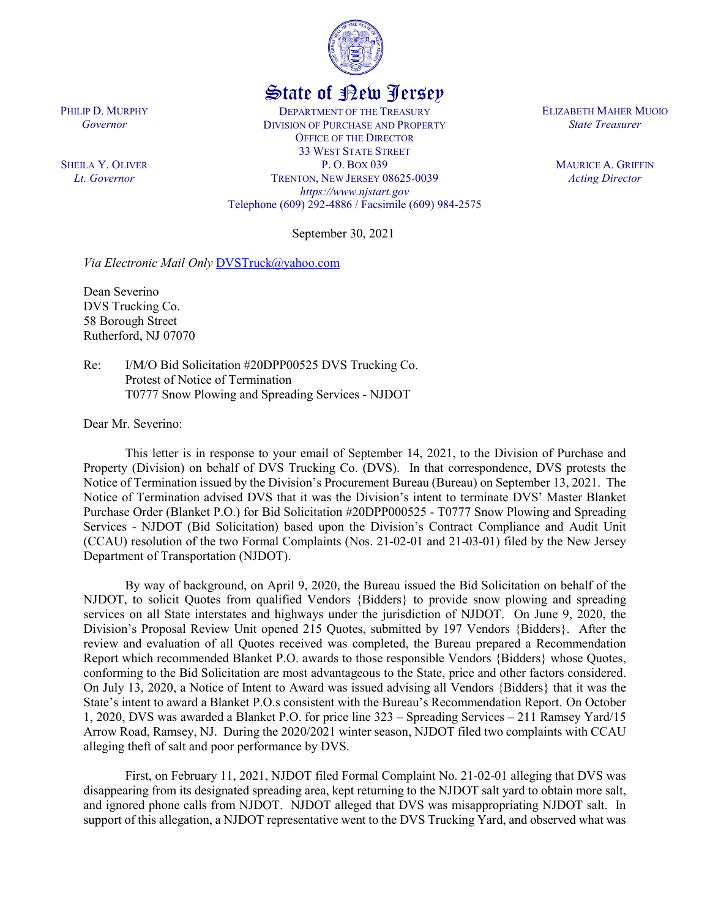

## State of New Jersey

DEPARTMENT OF THE TREASURY DIVISION OF PURCHASE AND PROPERTY OFFICE OF THE DIRECTOR 33 WEST STATE STREET P. O. BOX 039 TRENTON, NEW JERSEY 08625-0039 *https://www.njstart.gov* Telephone (609) 292-4886 / Facsimile (609) 984-2575

September 30, 2021

*Via Electronic Mail Only* [DVSTruck@yahoo.com](mailto:DVSTruck@yahoo.com)

Dean Severino DVS Trucking Co. 58 Borough Street Rutherford, NJ 07070

PHILIP D. MURPHY *Governor*

SHEILA Y. OLIVER *Lt. Governor*

> Re: I/M/O Bid Solicitation #20DPP00525 DVS Trucking Co. Protest of Notice of Termination T0777 Snow Plowing and Spreading Services - NJDOT

Dear Mr. Severino:

This letter is in response to your email of September 14, 2021, to the Division of Purchase and Property (Division) on behalf of DVS Trucking Co. (DVS). In that correspondence, DVS protests the Notice of Termination issued by the Division's Procurement Bureau (Bureau) on September 13, 2021. The Notice of Termination advised DVS that it was the Division's intent to terminate DVS' Master Blanket Purchase Order (Blanket P.O.) for Bid Solicitation #20DPP000525 - T0777 Snow Plowing and Spreading Services - NJDOT (Bid Solicitation) based upon the Division's Contract Compliance and Audit Unit (CCAU) resolution of the two Formal Complaints (Nos. 21-02-01 and 21-03-01) filed by the New Jersey Department of Transportation (NJDOT).

By way of background, on April 9, 2020, the Bureau issued the Bid Solicitation on behalf of the NJDOT, to solicit Quotes from qualified Vendors {Bidders} to provide snow plowing and spreading services on all State interstates and highways under the jurisdiction of NJDOT. On June 9, 2020, the Division's Proposal Review Unit opened 215 Quotes, submitted by 197 Vendors {Bidders}. After the review and evaluation of all Quotes received was completed, the Bureau prepared a Recommendation Report which recommended Blanket P.O. awards to those responsible Vendors {Bidders} whose Quotes, conforming to the Bid Solicitation are most advantageous to the State, price and other factors considered. On July 13, 2020, a Notice of Intent to Award was issued advising all Vendors {Bidders} that it was the State's intent to award a Blanket P.O.s consistent with the Bureau's Recommendation Report. On October 1, 2020, DVS was awarded a Blanket P.O. for price line 323 – Spreading Services – 211 Ramsey Yard/15 Arrow Road, Ramsey, NJ. During the 2020/2021 winter season, NJDOT filed two complaints with CCAU alleging theft of salt and poor performance by DVS.

First, on February 11, 2021, NJDOT filed Formal Complaint No. 21-02-01 alleging that DVS was disappearing from its designated spreading area, kept returning to the NJDOT salt yard to obtain more salt, and ignored phone calls from NJDOT. NJDOT alleged that DVS was misappropriating NJDOT salt. In support of this allegation, a NJDOT representative went to the DVS Trucking Yard, and observed what was

ELIZABETH MAHER MUOIO *State Treasurer*

> MAURICE A. GRIFFIN *Acting Director*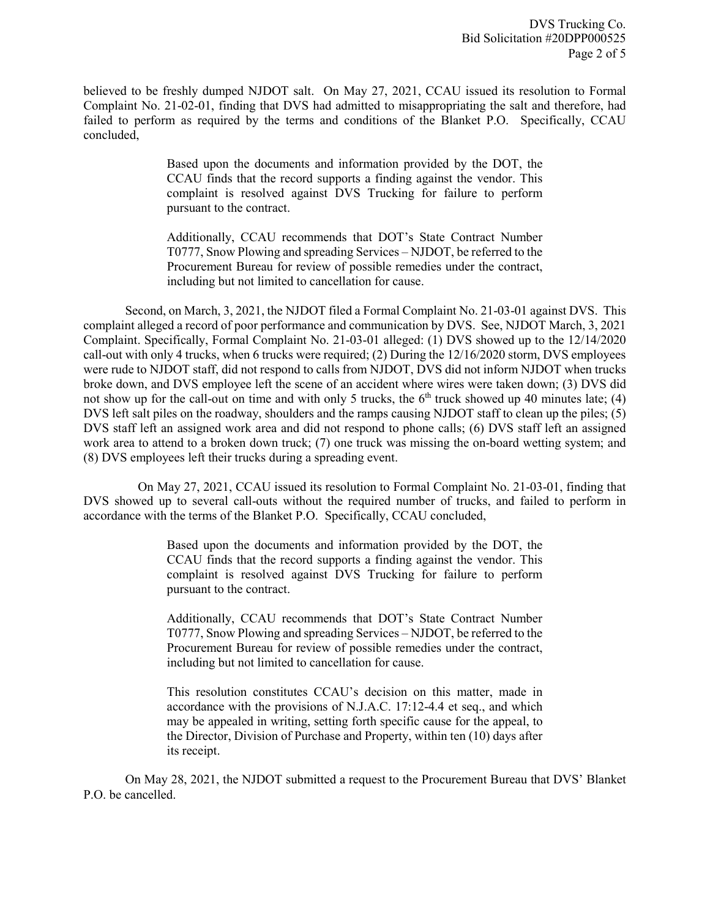believed to be freshly dumped NJDOT salt. On May 27, 2021, CCAU issued its resolution to Formal Complaint No. 21-02-01, finding that DVS had admitted to misappropriating the salt and therefore, had failed to perform as required by the terms and conditions of the Blanket P.O. Specifically, CCAU concluded,

> Based upon the documents and information provided by the DOT, the CCAU finds that the record supports a finding against the vendor. This complaint is resolved against DVS Trucking for failure to perform pursuant to the contract.

> Additionally, CCAU recommends that DOT's State Contract Number T0777, Snow Plowing and spreading Services – NJDOT, be referred to the Procurement Bureau for review of possible remedies under the contract, including but not limited to cancellation for cause.

Second, on March, 3, 2021, the NJDOT filed a Formal Complaint No. 21-03-01 against DVS. This complaint alleged a record of poor performance and communication by DVS. See, NJDOT March, 3, 2021 Complaint. Specifically, Formal Complaint No. 21-03-01 alleged: (1) DVS showed up to the 12/14/2020 call-out with only 4 trucks, when 6 trucks were required; (2) During the 12/16/2020 storm, DVS employees were rude to NJDOT staff, did not respond to calls from NJDOT, DVS did not inform NJDOT when trucks broke down, and DVS employee left the scene of an accident where wires were taken down; (3) DVS did not show up for the call-out on time and with only 5 trucks, the  $6<sup>th</sup>$  truck showed up 40 minutes late; (4) DVS left salt piles on the roadway, shoulders and the ramps causing NJDOT staff to clean up the piles; (5) DVS staff left an assigned work area and did not respond to phone calls; (6) DVS staff left an assigned work area to attend to a broken down truck; (7) one truck was missing the on-board wetting system; and (8) DVS employees left their trucks during a spreading event.

 On May 27, 2021, CCAU issued its resolution to Formal Complaint No. 21-03-01, finding that DVS showed up to several call-outs without the required number of trucks, and failed to perform in accordance with the terms of the Blanket P.O. Specifically, CCAU concluded,

> Based upon the documents and information provided by the DOT, the CCAU finds that the record supports a finding against the vendor. This complaint is resolved against DVS Trucking for failure to perform pursuant to the contract.

> Additionally, CCAU recommends that DOT's State Contract Number T0777, Snow Plowing and spreading Services – NJDOT, be referred to the Procurement Bureau for review of possible remedies under the contract, including but not limited to cancellation for cause.

> This resolution constitutes CCAU's decision on this matter, made in accordance with the provisions of N.J.A.C. 17:12-4.4 et seq., and which may be appealed in writing, setting forth specific cause for the appeal, to the Director, Division of Purchase and Property, within ten (10) days after its receipt.

On May 28, 2021, the NJDOT submitted a request to the Procurement Bureau that DVS' Blanket P.O. be cancelled.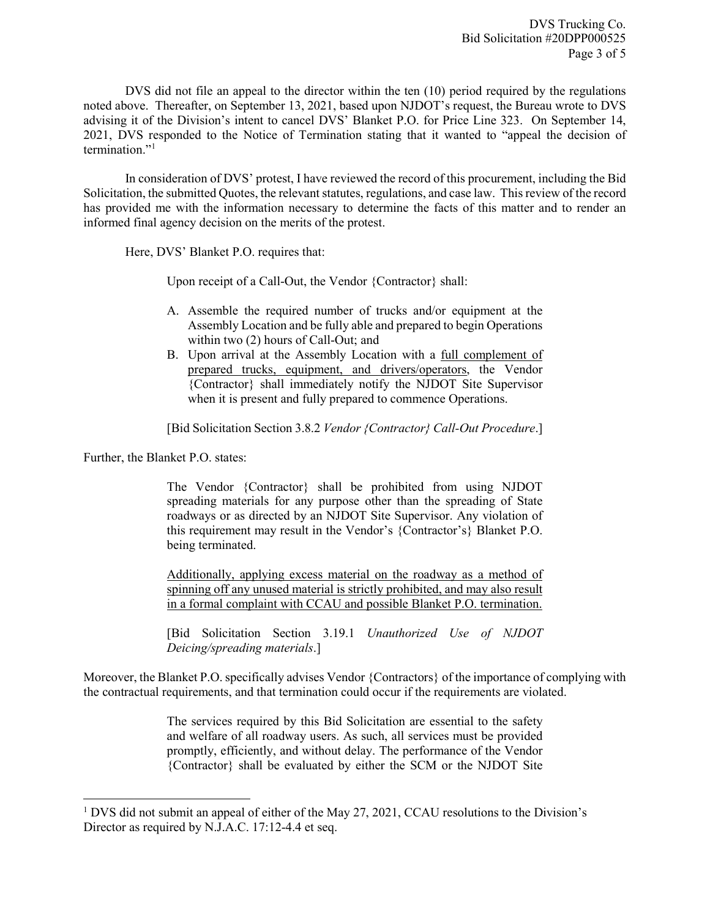DVS did not file an appeal to the director within the ten (10) period required by the regulations noted above. Thereafter, on September 13, 2021, based upon NJDOT's request, the Bureau wrote to DVS advising it of the Division's intent to cancel DVS' Blanket P.O. for Price Line 323. On September 14, 2021, DVS responded to the Notice of Termination stating that it wanted to "appeal the decision of termination."[1](#page-2-0)

In consideration of DVS' protest, I have reviewed the record of this procurement, including the Bid Solicitation, the submitted Quotes, the relevant statutes, regulations, and case law. This review of the record has provided me with the information necessary to determine the facts of this matter and to render an informed final agency decision on the merits of the protest.

Here, DVS' Blanket P.O. requires that:

Upon receipt of a Call-Out, the Vendor {Contractor} shall:

- A. Assemble the required number of trucks and/or equipment at the Assembly Location and be fully able and prepared to begin Operations within two (2) hours of Call-Out; and
- B. Upon arrival at the Assembly Location with a full complement of prepared trucks, equipment, and drivers/operators, the Vendor {Contractor} shall immediately notify the NJDOT Site Supervisor when it is present and fully prepared to commence Operations.

[Bid Solicitation Section 3.8.2 *Vendor {Contractor} Call-Out Procedure*.]

Further, the Blanket P.O. states:

l

The Vendor {Contractor} shall be prohibited from using NJDOT spreading materials for any purpose other than the spreading of State roadways or as directed by an NJDOT Site Supervisor. Any violation of this requirement may result in the Vendor's {Contractor's} Blanket P.O. being terminated.

Additionally, applying excess material on the roadway as a method of spinning off any unused material is strictly prohibited, and may also result in a formal complaint with CCAU and possible Blanket P.O. termination.

[Bid Solicitation Section 3.19.1 *Unauthorized Use of NJDOT Deicing/spreading materials*.]

Moreover, the Blanket P.O. specifically advises Vendor {Contractors} of the importance of complying with the contractual requirements, and that termination could occur if the requirements are violated.

> The services required by this Bid Solicitation are essential to the safety and welfare of all roadway users. As such, all services must be provided promptly, efficiently, and without delay. The performance of the Vendor {Contractor} shall be evaluated by either the SCM or the NJDOT Site

<span id="page-2-0"></span><sup>&</sup>lt;sup>1</sup> DVS did not submit an appeal of either of the May 27, 2021, CCAU resolutions to the Division's Director as required by N.J.A.C. 17:12-4.4 et seq.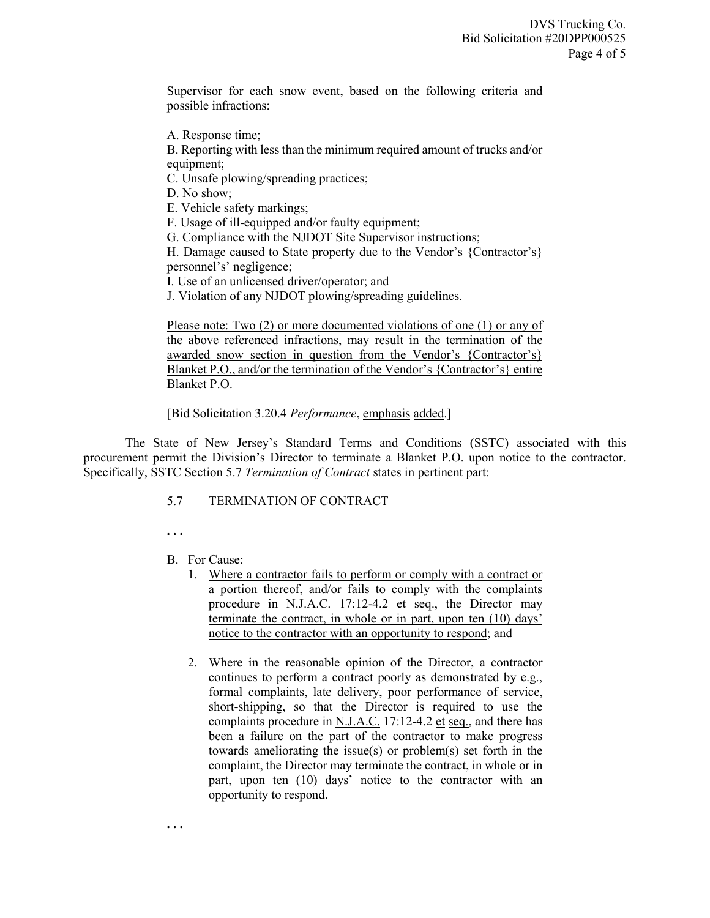Supervisor for each snow event, based on the following criteria and possible infractions:

A. Response time;

B. Reporting with less than the minimum required amount of trucks and/or equipment;

C. Unsafe plowing/spreading practices;

D. No show;

E. Vehicle safety markings;

F. Usage of ill-equipped and/or faulty equipment;

G. Compliance with the NJDOT Site Supervisor instructions;

H. Damage caused to State property due to the Vendor's {Contractor's} personnel's' negligence;

I. Use of an unlicensed driver/operator; and

J. Violation of any NJDOT plowing/spreading guidelines.

Please note: Two (2) or more documented violations of one (1) or any of the above referenced infractions, may result in the termination of the awarded snow section in question from the Vendor's {Contractor's} Blanket P.O., and/or the termination of the Vendor's {Contractor's} entire Blanket P.O.

[Bid Solicitation 3.20.4 *Performance*, emphasis added.]

The State of New Jersey's Standard Terms and Conditions (SSTC) associated with this procurement permit the Division's Director to terminate a Blanket P.O. upon notice to the contractor. Specifically, SSTC Section 5.7 *Termination of Contract* states in pertinent part:

## 5.7 TERMINATION OF CONTRACT

**. . .**

## B. For Cause:

- 1. Where a contractor fails to perform or comply with a contract or a portion thereof, and/or fails to comply with the complaints procedure in N.J.A.C. 17:12-4.2 et seq., the Director may terminate the contract, in whole or in part, upon ten (10) days' notice to the contractor with an opportunity to respond; and
- 2. Where in the reasonable opinion of the Director, a contractor continues to perform a contract poorly as demonstrated by e.g., formal complaints, late delivery, poor performance of service, short-shipping, so that the Director is required to use the complaints procedure in N.J.A.C. 17:12-4.2 et seq., and there has been a failure on the part of the contractor to make progress towards ameliorating the issue(s) or problem(s) set forth in the complaint, the Director may terminate the contract, in whole or in part, upon ten (10) days' notice to the contractor with an opportunity to respond.

**. . .**